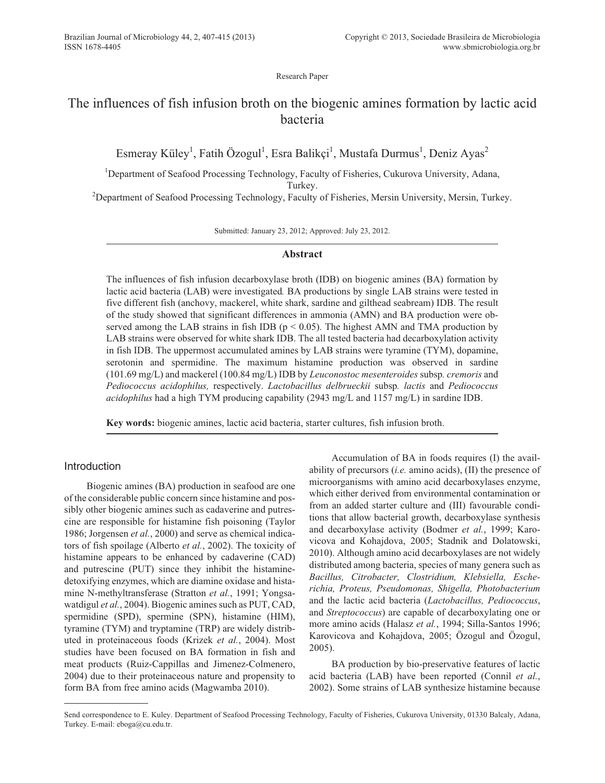Research Paper

# The influences of fish infusion broth on the biogenic amines formation by lactic acid bacteria

Esmeray Küley<sup>1</sup>, Fatih Özogul<sup>1</sup>, Esra Balikçi<sup>1</sup>, Mustafa Durmus<sup>1</sup>, Deniz Ayas<sup>2</sup>

<sup>1</sup>Department of Seafood Processing Technology, Faculty of Fisheries, Cukurova University, Adana, Turkey.

<sup>2</sup>Department of Seafood Processing Technology, Faculty of Fisheries, Mersin University, Mersin, Turkey.

Submitted: January 23, 2012; Approved: July 23, 2012.

# **Abstract**

The influences of fish infusion decarboxylase broth (IDB) on biogenic amines (BA) formation by lactic acid bacteria (LAB) were investigated*.* BA productions by single LAB strains were tested in five different fish (anchovy, mackerel, white shark, sardine and gilthead seabream) IDB. The result of the study showed that significant differences in ammonia (AMN) and BA production were observed among the LAB strains in fish IDB ( $p < 0.05$ ). The highest AMN and TMA production by LAB strains were observed for white shark IDB. The all tested bacteria had decarboxylation activity in fish IDB. The uppermost accumulated amines by LAB strains were tyramine (TYM), dopamine, serotonin and spermidine. The maximum histamine production was observed in sardine (101.69 mg/L) and mackerel (100.84 mg/L) IDB by *Leuconostoc mesenteroides* subsp*. cremoris* and *Pediococcus acidophilus,* respectively. *Lactobacillus delbrueckii* subsp*. lactis* and *Pediococcus acidophilus* had a high TYM producing capability (2943 mg/L and 1157 mg/L) in sardine IDB.

**Key words:** biogenic amines, lactic acid bacteria, starter cultures, fish infusion broth.

# Introduction

Biogenic amines (BA) production in seafood are one of the considerable public concern since histamine and possibly other biogenic amines such as cadaverine and putrescine are responsible for histamine fish poisoning (Taylor 1986; Jorgensen *et al.*, 2000) and serve as chemical indicators of fish spoilage (Alberto *et al.*, 2002). The toxicity of histamine appears to be enhanced by cadaverine (CAD) and putrescine (PUT) since they inhibit the histaminedetoxifying enzymes, which are diamine oxidase and histamine N-methyltransferase (Stratton *et al.*, 1991; Yongsawatdigul *et al.*, 2004). Biogenic amines such as PUT, CAD, spermidine (SPD), spermine (SPN), histamine (HIM), tyramine (TYM) and tryptamine (TRP) are widely distributed in proteinaceous foods (Krizek *et al.*, 2004). Most studies have been focused on BA formation in fish and meat products (Ruiz-Cappillas and Jimenez-Colmenero, 2004) due to their proteinaceous nature and propensity to form BA from free amino acids (Magwamba 2010).

Accumulation of BA in foods requires (I) the availability of precursors (*i.e.* amino acids), (II) the presence of microorganisms with amino acid decarboxylases enzyme, which either derived from environmental contamination or from an added starter culture and (III) favourable conditions that allow bacterial growth, decarboxylase synthesis and decarboxylase activity (Bodmer *et al.*, 1999; Karovicova and Kohajdova, 2005; Stadnik and Dolatowski, 2010). Although amino acid decarboxylases are not widely distributed among bacteria, species of many genera such as *Bacillus, Citrobacter, Clostridium, Klebsiella, Escherichia, Proteus, Pseudomonas, Shigella, Photobacterium* and the lactic acid bacteria (*Lactobacillus, Pediococcus*, and *Streptococcus*) are capable of decarboxylating one or more amino acids (Halasz *et al.*, 1994; Silla-Santos 1996; Karovicova and Kohajdova, 2005; Özogul and Özogul, 2005).

BA production by bio-preservative features of lactic acid bacteria (LAB) have been reported (Connil *et al.*, 2002). Some strains of LAB synthesize histamine because

Send correspondence to E. Kuley. Department of Seafood Processing Technology, Faculty of Fisheries, Cukurova University, 01330 Balcaly, Adana, Turkey. E-mail: eboga@cu.edu.tr.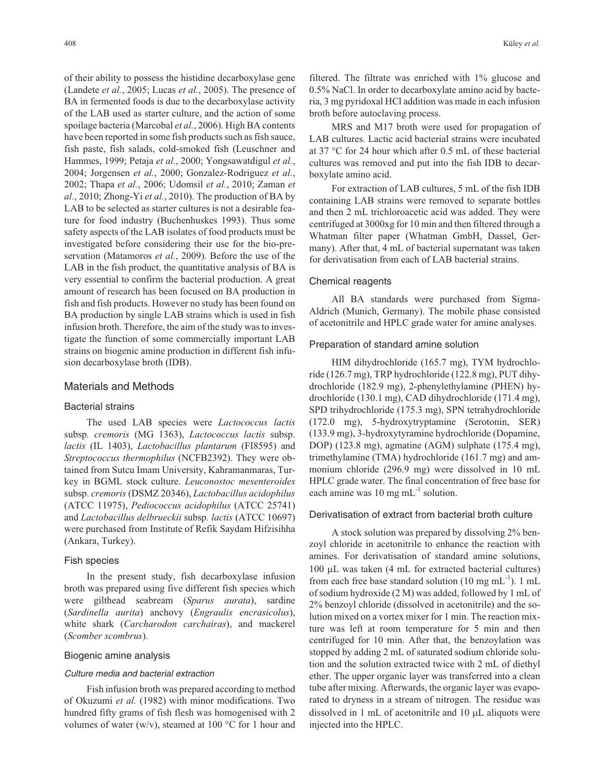of their ability to possess the histidine decarboxylase gene (Landete *et al.*, 2005; Lucas *et al.*, 2005). The presence of BA in fermented foods is due to the decarboxylase activity of the LAB used as starter culture, and the action of some spoilage bacteria (Marcobal *et al.*, 2006). High BA contents have been reported in some fish products such as fish sauce, fish paste, fish salads, cold-smoked fish (Leuschner and Hammes, 1999; Petaja *et al.*, 2000; Yongsawatdigul *et al.*, 2004; Jorgensen *et al.*, 2000; Gonzalez-Rodriguez *et al.*, 2002; Thapa *et al.*, 2006; Udomsil *et al.*, 2010; Zaman *et al.*, 2010; Zhong-Yi *et al.*, 2010). The production of BA by LAB to be selected as starter cultures is not a desirable feature for food industry (Buchenhuskes 1993). Thus some safety aspects of the LAB isolates of food products must be investigated before considering their use for the bio-preservation (Matamoros *et al.*, 2009). Before the use of the LAB in the fish product, the quantitative analysis of BA is very essential to confirm the bacterial production. A great amount of research has been focused on BA production in fish and fish products. However no study has been found on BA production by single LAB strains which is used in fish infusion broth. Therefore, the aim of the study was to investigate the function of some commercially important LAB strains on biogenic amine production in different fish infusion decarboxylase broth (IDB).

## Materials and Methods

#### Bacterial strains

The used LAB species were *Lactococcus lactis* subsp*. cremoris* (MG 1363), *Lactococcus lactis* subsp. *lactis* (IL 1403), *Lactobacillus plantarum* (FI8595) and *Streptococcus thermophilus* (NCFB2392). They were obtained from Sutcu Imam University, Kahramanmaras, Turkey in BGML stock culture. *Leuconostoc mesenteroides* subsp. *cremoris* (DSMZ 20346), *Lactobacillus acidophilus* (ATCC 11975), *Pediococcus acidophilus* (ATCC 25741) and *Lactobacillus delbrueckii* subsp*. lactis* (ATCC 10697) were purchased from Institute of Refik Saydam Hifzisihha (Ankara, Turkey).

#### Fish species

In the present study, fish decarboxylase infusion broth was prepared using five different fish species which were gilthead seabream (*Sparus aurata*), sardine (*Sardinella aurita*) anchovy (*Engraulis encrasicolus*), white shark (*Carcharodon carchairas*), and mackerel (*Scomber scombrus*).

#### Biogenic amine analysis

#### Culture media and bacterial extraction

Fish infusion broth was prepared according to method of Okuzumi *et al.* (1982) with minor modifications. Two hundred fifty grams of fish flesh was homogenised with 2 volumes of water (w/v), steamed at 100  $\rm{^{\circ}C}$  for 1 hour and

filtered. The filtrate was enriched with 1% glucose and 0.5% NaCl. In order to decarboxylate amino acid by bacteria, 3 mg pyridoxal HCl addition was made in each infusion broth before autoclaving process.

MRS and M17 broth were used for propagation of LAB cultures. Lactic acid bacterial strains were incubated at 37 °C for 24 hour which after 0.5 mL of these bacterial cultures was removed and put into the fish IDB to decarboxylate amino acid.

For extraction of LAB cultures, 5 mL of the fish IDB containing LAB strains were removed to separate bottles and then 2 mL trichloroacetic acid was added. They were centrifuged at 3000xg for 10 min and then filtered through a Whatman filter paper (Whatman GmbH, Dassel, Germany). After that, 4 mL of bacterial supernatant was taken for derivatisation from each of LAB bacterial strains.

#### Chemical reagents

All BA standards were purchased from Sigma-Aldrich (Munich, Germany). The mobile phase consisted of acetonitrile and HPLC grade water for amine analyses.

#### Preparation of standard amine solution

HIM dihydrochloride (165.7 mg), TYM hydrochloride (126.7 mg), TRP hydrochloride (122.8 mg), PUT dihydrochloride (182.9 mg), 2-phenylethylamine (PHEN) hydrochloride (130.1 mg), CAD dihydrochloride (171.4 mg), SPD trihydrochloride (175.3 mg), SPN tetrahydrochloride (172.0 mg), 5-hydroxytryptamine (Serotonin, SER) (133.9 mg), 3-hydroxytyramine hydrochloride (Dopamine, DOP) (123.8 mg), agmatine (AGM) sulphate (175.4 mg), trimethylamine (TMA) hydrochloride (161.7 mg) and ammonium chloride (296.9 mg) were dissolved in 10 mL HPLC grade water. The final concentration of free base for each amine was 10 mg  $mL^{-1}$  solution.

#### Derivatisation of extract from bacterial broth culture

A stock solution was prepared by dissolving 2% benzoyl chloride in acetonitrile to enhance the reaction with amines. For derivatisation of standard amine solutions,  $100 \mu L$  was taken (4 mL for extracted bacterial cultures) from each free base standard solution (10 mg  $mL^{-1}$ ). 1 mL of sodium hydroxide (2 M) was added, followed by 1 mL of 2% benzoyl chloride (dissolved in acetonitrile) and the solution mixed on a vortex mixer for 1 min. The reaction mixture was left at room temperature for 5 min and then centrifuged for 10 min. After that, the benzoylation was stopped by adding 2 mL of saturated sodium chloride solution and the solution extracted twice with 2 mL of diethyl ether. The upper organic layer was transferred into a clean tube after mixing. Afterwards, the organic layer was evaporated to dryness in a stream of nitrogen. The residue was dissolved in 1 mL of acetonitrile and 10  $\mu$ L aliquots were injected into the HPLC.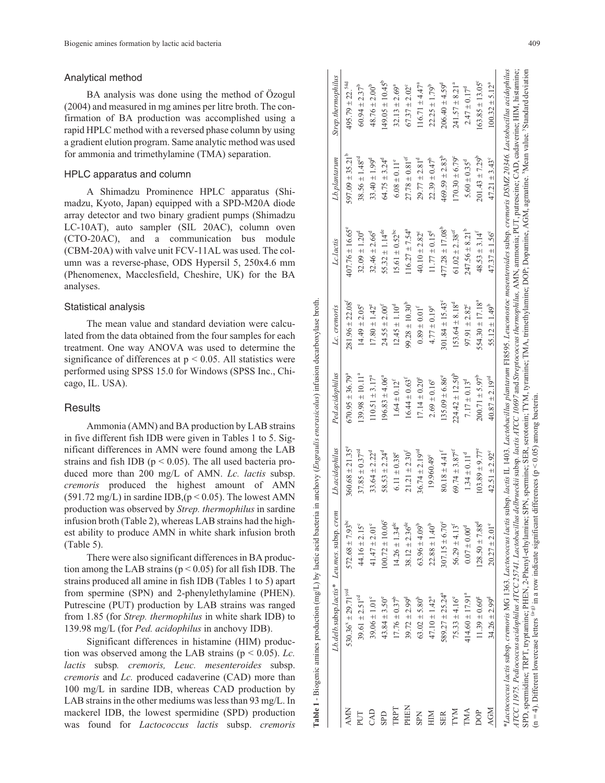#### Analytical method

BA analysis was done using the method of Özogul (2004) and measured in mg amines per litre broth. The con firmation of BA production was accomplished using a rapid HPLC method with a reversed phase column by using a gradient elution program. Same analytic method was used for ammonia and trimethylamine (TMA) separation.

### HPLC apparatus and column

A Shimadzu Prominence HPLC apparatus (Shi madzu, Kyoto, Japan) equipped with a SPD-M20A diode array detector and two binary gradient pumps (Shimadzu LC-10AT), auto sampler (SIL 20AC), column oven (CTO-20AC), and a communication bus module (CBM-20A) with valve unit FCV-11AL was used. The col umn was a reverse-phase, ODS Hypersil 5, 250x4.6 mm (Phenomenex, Macclesfield, Cheshire, UK) for the BA analyses.

## Statistical analysis

The mean value and standard deviation were calcu lated from the data obtained from the four samples for each treatment. One way ANOVA was used to determine the significance of differences at  $p < 0.05$ . All statistics were performed using SPSS 15.0 for Windows (SPSS Inc., Chicago, IL. USA).

## **Results**

Ammonia (AMN) and BA production by LAB strains in five different fish IDB were given in Tables 1 to 5. Significant differences in AMN were found among the LAB strains and fish IDB ( $p < 0.05$ ). The all used bacteria produced more than 200 mg/L of AMN. *Lc. lactis* subsp. *cremoris* produced the highest amount of AMN  $(591.72 \text{ mg/L})$  in sardine IDB,  $(p < 0.05)$ . The lowest AMN production was observed by *Strep. thermophilus* in sardine infusion broth (Table 2), whereas LAB strains had the high est ability to produce AMN in white shark infusion broth (Table 5).

There were also significant differences in BA produc tion among the LAB strains  $(p < 0.05)$  for all fish IDB. The strains produced all amine in fish IDB (Tables 1 to 5) apart from spermine (SPN) and 2-phenylethylamine (PHEN). Putrescine (PUT) production by LAB strains was ranged from 1.85 (for *Strep. thermophilus* in white shark IDB) to 139.98 mg/L (for *Ped. acidophilus* in anchovy IDB).

Significant differences in histamine (HIM) produc tion was observed among the LAB strains (p < 0.05). *Lc. lactis* subsp*. cremoris, Leuc. mesenteroides* subsp. *cremoris* and *Lc.* produced cadaverine (CAD) more than 100 mg/L in sardine IDB, whereas CAD production by LAB strains in the other mediums was less than 93 mg/L. In mackerel IDB, the lowest spermidine (SPD) production was found for *Lactococcus lactis* subsp. *cremoris*

| $572.68 \pm 7.93$ <sup>bc</sup><br>$41.47 \pm 2.01^{\circ}$<br>$44.16 \pm 2.15^{\circ}$<br>$530.36^8 \pm 29.71^{\text{ycd}}$<br>$39.61 \pm 2.51$ <sup>od</sup><br>$39.06 \pm 1.01^{\circ}$<br><b>AMN</b><br>CAD<br>PUT                                                                                                                                                                                       | Lb.acidophilus                 | Ped.acidophilus               | Lc. cremoris                    | Lc.lactis                  | Lb.plantarum                   | Strep.thermophilus             |
|--------------------------------------------------------------------------------------------------------------------------------------------------------------------------------------------------------------------------------------------------------------------------------------------------------------------------------------------------------------------------------------------------------------|--------------------------------|-------------------------------|---------------------------------|----------------------------|--------------------------------|--------------------------------|
|                                                                                                                                                                                                                                                                                                                                                                                                              | $360.68 \pm 21.35^{\circ}$     | $670.95 \pm 36.79^a$          | $281.96 \pm 22.08$ <sup>f</sup> | $407.76 \pm 16.65^{\circ}$ | $597.09 \pm 35.21^{\circ}$     | $495.79 \pm 22.^{54d}$         |
|                                                                                                                                                                                                                                                                                                                                                                                                              | $37.85 \pm 0.37^{\circ d}$     | $139.98 \pm 10.11^a$          | $14.49 \pm 2.05^{\circ}$        | $32.09 \pm 1.20^{\circ}$   | $38.56 \pm 1.48$ <sup>cd</sup> | $60.94 \pm 2.37^b$             |
|                                                                                                                                                                                                                                                                                                                                                                                                              | $33.64 \pm 2.22^d$             | $110.51 \pm 3.17^a$           | $17.80 \pm 1.42^{\circ}$        | $32.46 \pm 2.66^{\circ}$   | $33.40 \pm 1.99^d$             | $48.76 \pm 2.00^b$             |
| $100.72 \pm 10.06^{\circ}$<br>$43.84 \pm 3.50^e$<br><b>GPD</b>                                                                                                                                                                                                                                                                                                                                               | $58.53 \pm 2.24^d$             | $196.83 \pm 4.06^9$           | $24.55 \pm 2.00^{\rm f}$        | $55.32 \pm 1.14^{de}$      | $64.75 \pm 3.24^d$             | $149.05 \pm 10.45^{\circ}$     |
| $14.26 \pm 1.34$ <sup>dc</sup><br>$17.76 \pm 0.37^b$<br>TRPT                                                                                                                                                                                                                                                                                                                                                 | $6.11 \pm 0.38$ <sup>e</sup>   | $1.64 \pm 0.12^{f}$           | $12.45 \pm 1.10^d$              | $15.61 \pm 0.52^{\rm bc}$  | $6.08\pm0.11^{\circ}$          | $32.13 \pm 2.69^a$             |
| $38.12 \pm 2.36$ <sup>de</sup><br>$39.72 \pm 2.99^d$<br>PHEN                                                                                                                                                                                                                                                                                                                                                 | $21.21 \pm 2.30$ <sup>f</sup>  | $16.44 \pm 0.63$ <sup>f</sup> | $99.28 \pm 10.30^{\circ}$       | $116.27 \pm 7.54^a$        | $27.78\pm0.81^{\mathrm{cf}}$   | $67.37 \pm 2.02^{\circ}$       |
| $63.96 \pm 4.09^b$<br>$63.02 \pm 5.80^b$<br><b>SPN</b>                                                                                                                                                                                                                                                                                                                                                       | $36.74 \pm 2.19$ <sup>cd</sup> | $17.14 \pm 0.20^{\circ}$      | $0.89 \pm 0.01^{\text{f}}$      | $40.10 \pm 2.82^{\circ}$   | $29.77 \pm 2.81$ <sup>d</sup>  | $116.71 \pm 4.47^a$            |
| $22.88 \pm 1.40^b$<br>$47.10 \pm 1.42^a$<br>HIM                                                                                                                                                                                                                                                                                                                                                              | 19.960.49°                     | $2.69 \pm 0.16^{\circ}$       | $4.77 \pm 0.19^e$               | $11.77 \pm 0.15^d$         | $22.39 \pm 0.47^b$             | $22.25 \pm 1.79^b$             |
| $307.15 \pm 6.70^{\circ}$<br>$589.27 \pm 25.24^a$<br><b>SER</b>                                                                                                                                                                                                                                                                                                                                              | $80.18 \pm 4.41^{\rm f}$       | $135.09 \pm 6.86^{\circ}$     | $301.84 \pm 15.43^{\circ}$      | $477.28 \pm 17.08^b$       | $469.59 \pm 2.83^b$            | $206.40 \pm 4.59$ <sup>d</sup> |
| $56.29 \pm 4.13^f$<br>$75.33 \pm 4.16^{\circ}$<br>LAN                                                                                                                                                                                                                                                                                                                                                        | $69.74 \pm 3.87$ <sup>ef</sup> | $224.42 \pm 12.50^b$          | $153.64 \pm 8.18$ <sup>d</sup>  | $61.02 \pm 2.38$ ef        | $170.30 \pm 6.79^{\circ}$      | $241.57 \pm 8.21a$             |
| $0.07\pm0.00^{\rm d}$<br>$414.60 \pm 17.91^a$<br>TMA                                                                                                                                                                                                                                                                                                                                                         | $1.34 \pm 0.11^{d}$            | $7.17 \pm 0.13$ <sup>d</sup>  | $97.91 \pm 2.82^{\circ}$        | $247.56 \pm 8.21^b$        | $5.60 \pm 0.35^{\rm d}$        | $2.47 \pm 0.17^d$              |
| $128.50 \pm 7.88$ <sup>d</sup><br>$11.39 \pm 0.60^8$<br><b>DOP</b>                                                                                                                                                                                                                                                                                                                                           | $103.89 \pm 9.77^{\circ}$      | $200.71 \pm 5.97^b$           | $554.30 \pm 17.18^a$            | $48.53 \pm 3.14^{f}$       | $201.43 \pm 7.29^b$            | $163.85 \pm 13.05^{\circ}$     |
| $20.27 \pm 2.01^{\circ}$<br>$34.26 \pm 2.99^d$<br><b>AGM</b>                                                                                                                                                                                                                                                                                                                                                 | $42.51 \pm 2.92^{\circ}$       | $40.87 \pm 2.19^{cd}$         | $55.12 \pm 1.49^b$              | $47.37 \pm 1.56^{\circ}$   | $47.21 \pm 3.43^{\circ}$       | $100.32 \pm 5.12^a$            |
| *Lactococcus lactis subsp. cremoris MG 1363. Lactococcus lactis subsp. lactis IL 1403. Lactobacillus plantarum FI8595. Leuconostoc mesenteroides subsp. cremoris DSMZ 20346. Lactobacillus acidophilus<br>ATCC 11975. Pediococcus acidophilus ATCC 25741. Lactobacillus delbrucckii subsp. lactis AICC 10697 and Streptococcus thermophilus, AMN, anmonia; PUT, putrescine; CAD, cadaverine; HIM, histamine; |                                |                               |                                 |                            |                                |                                |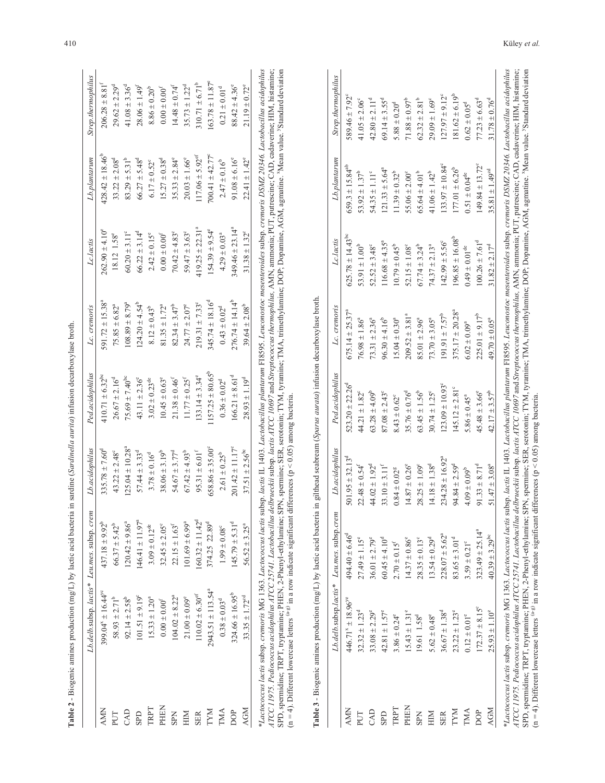|              |                                | Lb.delb.subsp. lactis* Leu.mes. subsp. crem | Lb.acidophilus                  | Ped.acidophilus                 | Lc. cremoris                   | Lc.lactis                    | $Lb$ .plantarum               | Strep.thermophilu             |
|--------------|--------------------------------|---------------------------------------------|---------------------------------|---------------------------------|--------------------------------|------------------------------|-------------------------------|-------------------------------|
| Š            | $399.04^{x} \pm 16.44^{y}$     | $437.18 \pm 9.92$                           | $335.78 \pm 7.60^{\circ}$       | $410.71 \pm 6.32$ <sup>bc</sup> | $591.72 \pm 15.38^a$           | $262.90 \pm 4.10^{\circ}$    | $428.42 \pm 18.46^{\circ}$    | $206.28 \pm 8.81^{f}$         |
|              | $58.93 \pm 2.71^b$             | $66.37 \pm 5.42^b$                          | $43.22 \pm 2.48$ °              | $26.67 \pm 2.16^d$              | $75.85 \pm 6.82^a$             | 18.12 1.58°                  | $33.22 \pm 2.08$ <sup>d</sup> | $29.62 \pm 2.29$ <sup>d</sup> |
| <b>AD</b>    | $92.14 \pm 2.58^b$             | $20.42 \pm 9.86^{\circ}$                    | $125.04 \pm 10.28$ <sup>a</sup> | 75.69 $\pm$ 7.40 <sup>bc</sup>  | $108.89 \pm 8.79$ <sup>a</sup> | $60.20 \pm 3.11^{\circ}$     | $83.29 \pm 5.31^b$            | $41.08 \pm 3.36^d$            |
| E            | $101.51 \pm 9.19^{\circ}$      | $46.41 \pm 11.97^a$                         | $57.44 \pm 3.33$ <sup>d</sup>   | $43.11 \pm 2.36^{\circ}$        | $124.20 \pm 4.54^b$            | $66.22 \pm 3.14^{\circ}$     | $66.27 \pm 5.48$ <sup>d</sup> | $28.06 \pm 1.49^{\rm f}$      |
| RPT          | $15.33 \pm 1.20^a$             | $3.09\pm0.12^{\rm de}$                      | $3.78 \pm 0.16^{d}$             | $3.02 \pm 0.23$ <sup>de</sup>   | $8.12 \pm 0.43^b$              | $2.42 \pm 0.15^{\circ}$      | $6.17 \pm 0.52$ <sup>c</sup>  | $8.86\pm0.20^{\mathrm{b}}$    |
| HEN          | $0.00 \pm 0.00^f$              | $32.45 \pm 2.05^{\circ}$                    | $38.06 \pm 3.19^{b}$            | $10.45 \pm 0.63^{\circ}$        | $81.35 \pm 1.72^a$             | $0.00 \pm 0.00^{\rm f}$      | $15.27 \pm 0.38$ <sup>d</sup> | $0.00\pm0.00^\mathrm{f}$      |
| $\mathbb{E}$ | $104.02 \pm 8.22^a$            | $22.15 \pm 1.63$ <sup>t</sup>               | $54.67 \pm 3.77^d$              | $21.38 \pm 0.46^{\dagger}$      | $82.34 \pm 3.47^b$             | $70.42 \pm 4.83^{\circ}$     | $35.33 \pm 2.84^{\circ}$      | $14.48 \pm 0.74^{\rm f}$      |
| $\geq$       | $21.00 \pm 0.09^e$             | $01.69 \pm 6.99^a$                          | $67.42 \pm 4.93^b$              | $11.77 \pm 0.25$ <sup>f</sup>   | $24.77 \pm 2.07^e$             | $59.47 \pm 3.63^{\circ}$     | $20.03 \pm 1.66^{\circ}$      | $35.73 \pm 1.22^d$            |
| $\mathbb{E}$ | $10.02 \pm 6.30$ <sup>ef</sup> | $60.32 \pm 11.42^d$                         | $95.31 \pm 6.01^f$              | $133.14 \pm 3.34^{\circ}$       | $219.31 \pm 7.33^{\circ}$      | $119.25 \pm 22.31^a$         | $117.06 \pm 5.92$ ef          | $310.71 \pm 6.71^{\rm b}$     |
| XМ           | $2943.51 \pm 113.54^a$         | 374.25 22.89 <sup>d</sup>                   | $658.86 \pm 35.00^{\circ}$      | $1157.25 \pm 80.65^b$           | $345.74 \pm 18.16^{\circ}$     | $154.39 \pm 9.54^{\circ}$    | $700.41 \pm 42.77^{\circ}$    | $163.78 \pm 11.87^{\circ}$    |
| МA           | $0.38 \pm 0.03$ <sup>d</sup>   | $1.99 \pm 0.08$ °                           | $2.61 \pm 0.25^b$               | $0.36 \pm 0.02^d$               | $0.43 \pm 0.02^d$              | $4.29 \pm 0.03$ <sup>a</sup> | $2.47 \pm 0.16^b$             | $0.21\pm0.01^{\rm d}$         |
| ð            | $324.66 \pm 16.95^{\circ}$     | $145.79 \pm 5.31^d$                         | $201.42 \pm 11.17^{\circ}$      | $166.21 \pm 8.61$ <sup>d</sup>  | $276.74 \pm 14.14^b$           | $349.46 \pm 23.14^a$         | $91.08 \pm 6.16^{\circ}$      | $88.42 \pm 4.36^{\circ}$      |
| ŠΣ           | $33.35 \pm 1.72^{cd}$          | $56.52 \pm 3.25^a$                          | $37.51 \pm 2.56^{\circ}$        | $28.93 \pm 1.19^{d}$            | $39.64 \pm 2.08^b$             | $31.38 \pm 1.32^{\circ}$     | $22.41 \pm 1.42^{\circ}$      | $21.19 \pm 0.72^{\circ}$      |
|              |                                |                                             |                                 |                                 |                                |                              |                               |                               |

|                                                 | I                                   |  |
|-------------------------------------------------|-------------------------------------|--|
|                                                 |                                     |  |
|                                                 | <b>AVII</b> 9                       |  |
|                                                 |                                     |  |
|                                                 | carp<br>ś<br>ī                      |  |
|                                                 | G<br>í                              |  |
| ֪ׅ֪ׅ֡֬֝֬֝֬֝֬֝֬֝֬֝֬֝֬֝֬֝֬֝֬֝֬֝֬֝֬֝ <b>֟</b><br>t | č                                   |  |
|                                                 | ļ                                   |  |
|                                                 | i<br>n                              |  |
|                                                 | Ĕ<br>۷                              |  |
|                                                 | arus                                |  |
|                                                 | Ş                                   |  |
| l                                               | į                                   |  |
|                                                 | am                                  |  |
|                                                 | $\frac{1}{2}$<br>١<br>i<br>ă        |  |
|                                                 | j                                   |  |
|                                                 | ಕ<br>i<br>i<br>S<br>č               |  |
| i                                               |                                     |  |
|                                                 | į<br>١Í<br>١                        |  |
| ֧֖֖֖֖֚֚֚֚֚֡֬֝֬ <u>֚</u>                         | $\Xi$<br>in and of                  |  |
|                                                 | ğ<br>i                              |  |
| Ì                                               | ā<br>l                              |  |
|                                                 | ć<br>j                              |  |
|                                                 | č<br>Š                              |  |
|                                                 | $\ddot{\phantom{0}}$<br>ŧ<br>ā<br>j |  |
|                                                 | $\frac{1}{2}$                       |  |
|                                                 |                                     |  |
| ׅ֘֒                                             | į                                   |  |
|                                                 | ī<br>ÞÌ<br>r                        |  |
|                                                 | E<br>l                              |  |
|                                                 | ł<br>É                              |  |
|                                                 | 5                                   |  |
|                                                 | ś<br>ì<br>ì                         |  |
|                                                 | mun                                 |  |
|                                                 | pgemi                               |  |
|                                                 | Ью                                  |  |
| i                                               |                                     |  |
|                                                 | Ì<br>l                              |  |
|                                                 | ١                                   |  |
|                                                 | e.                                  |  |

| TRPT<br><b>AMN</b><br>CAD<br>PUT<br><b>GPD</b> | $399.04^{x} \pm 16.44^{y}$<br>$58.93 \pm 2.71^b$ |                               |                                 |                                 |                                 |                                |                                 |                               |
|------------------------------------------------|--------------------------------------------------|-------------------------------|---------------------------------|---------------------------------|---------------------------------|--------------------------------|---------------------------------|-------------------------------|
|                                                |                                                  | $437.18 \pm 9.92^b$           | $335.78 \pm 7.60^d$             | $410.71 \pm 6.32$ <sup>bc</sup> | 591.72 $\pm$ 15.38 <sup>a</sup> | $262.90 \pm 4.10^{\circ}$      | $428.42 \pm 18.46^{\circ}$      | $206.28 \pm 8.81^{\text{f}}$  |
|                                                |                                                  | $66.37 \pm 5.42^b$            | $43.22 \pm 2.48^{\circ}$        | $26.67 \pm 2.16^d$              | $75.85 \pm 6.82^a$              | 18.12 1.58°                    | $33.22 \pm 2.08$ <sup>d</sup>   | $29.62 \pm 2.29$ <sup>d</sup> |
|                                                | $92.14 \pm 2.58^b$                               | $120.42 \pm 9.86^4$           | $125.04 \pm 10.28$ <sup>a</sup> | $75.69 \pm 7.40^{\circ}$        | $108.89 \pm 8.79^{\circ}$       | $60.20 \pm 3.11^{\circ}$       | $83.29 \pm 5.31^b$              | $41.08 \pm 3.36^d$            |
|                                                | $101.51 \pm 9.19^{\circ}$                        | $146.41 \pm 11.97^a$          | $57.44 \pm 3.33$ <sup>d</sup>   | $43.11 \pm 2.36^{\circ}$        | $124.20 \pm 4.54^b$             | $66.22 \pm 3.14^d$             | $66.27 \pm 5.48$ <sup>d</sup>   | $28.06 \pm 1.49^{\rm f}$      |
|                                                | $15.33 \pm 1.20^a$                               | $3.09\pm0.12^{\rm de}$        | $3.78\pm0.16^{\rm d}$           | $3.02\pm0.23^{\rm de}$          | $8.12 \pm 0.43^b$               | $2.42 \pm 0.15^{\circ}$        | $6.17\pm0.52^{\circ}$           | $8.86\pm0.20^{\mathrm{b}}$    |
| PHEN                                           | $0.00\pm0.00^{f}$                                | $32.45 \pm 2.05^{\circ}$      | $38.06 \pm 3.19^b$              | $10.45 \pm 0.63^{\circ}$        | $81.35 \pm 1.72^a$              | $0.00\pm0.00^\mathrm{f}$       | $15.27 \pm 0.38$ <sup>d</sup>   | $0.00\pm0.00^{\rm f}$         |
| <b>SPN</b>                                     | $104.02 \pm 8.22^a$                              | $22.15\pm1.63^{\rm f}$        | $54.67 \pm 3.77^d$              | $21.38\pm0.46^{\mathrm{f}}$     | $82.34 \pm 3.47^b$              | $70.42 \pm 4.83^{\circ}$       | $35.33 \pm 2.84^{\circ}$        | $14.48 \pm 0.74$ <sup>f</sup> |
| HIM                                            | $21.00\pm0.09^{\rm e}$                           | $101.69 \pm 6.99^a$           | $67.42 \pm 4.93^b$              | $11.77\pm0.25^{\rm f}$          | $24.77 \pm 2.07^e$              | $59.47 \pm 3.63^{\circ}$       | $20.03 \pm 1.66^{\circ}$        | $35.73 \pm 1.22^d$            |
| <b>SER</b>                                     | $110.02 \pm 6.30^{\rm {ef}}$                     | $160.32 \pm 11.42^d$          | $95.31 \pm 6.01^{f}$            | $133.14 \pm 3.34^{\circ}$       | $219.31 \pm 7.33^{\circ}$       | $419.25 \pm 22.31^a$           | $117.06 \pm 5.92$ <sup>ef</sup> | $310.71 \pm 6.71^b$           |
| <b>INAL</b>                                    | $2943.51 \pm 113.54^a$                           | 374.25 22.89 <sup>d</sup>     | $658.86 \pm 35.00^{\circ}$      | $1157.25 \pm 80.65^{\circ}$     | $345.74 \pm 18.16^{\circ}$      | $154.39 \pm 9.54^{\circ}$      | $700.41 \pm 42.77^{\circ}$      | $163.78 \pm 11.87^e$          |
| TMA                                            | $0.38 \pm 0.03$ <sup>d</sup>                     | $1.99\pm0.08^{\circ}$         | $2.61 \pm 0.25^b$               | $0.36 \pm 0.02^d$               | $0.43 \pm 0.02^d$               | $4.29 \pm 0.03$ <sup>a</sup>   | $2.47 \pm 0.16^b$               | $0.21 \pm 0.01$ <sup>d</sup>  |
| DOP                                            | $324.66 \pm 16.95^b$                             | $145.79 \pm 5.31^d$           | $201.42 \pm 11.17^{\circ}$      | $166.21 \pm 8.61^d$             | $276.74 \pm 14.14^b$            | $349.46 \pm 23.14^a$           | $91.08 \pm 6.16^{\circ}$        | $88.42 \pm 4.36^{\circ}$      |
| <b>AGM</b>                                     | $33.35 \pm 1.72^{cd}$                            | $56.52 \pm 3.25^a$            | $37.51 \pm 2.56^{\rm bc}$       | $28.93 \pm 1.19^{d}$            | $39.64 \pm 2.08^b$              | $31.38\pm1.32^{\circ}$         | $22.41 \pm 1.42^{\circ}$        | $21.19 \pm 0.72^{\circ}$      |
|                                                | Lb.delb.subsp.lactis*                            | Leu.mes. subsp.crem           | Lb.acidophilus                  | Ped.acidophilus                 | Lc. cremoris                    | Lc.lactis                      | Lb.plantarum                    | Strep.thermophilus            |
| <b>AMN</b>                                     | 446.71 <sup>x</sup> ± 18.96 <sup>ye</sup>        | $494.40 \pm 6.46^{\circ}$     | $501.95 \pm 32.13$              | $523.20 \pm 22.26^{\circ}$      | $675.14 \pm 25.37^{\circ}$      | $625.78 \pm 14.43^{\text{bc}}$ | $659.3 \pm 15.84^{ab}$          | $589.46 \pm 7.92$             |
| PUT                                            | $32.32 \pm 1.23$ <sup>d</sup>                    | $27.49 \pm 1.15^{\circ}$      | $22.48 \pm 0.54$ <sup>f</sup>   | $44.21 \pm 1.82^{\circ}$        | $76.98 \pm 1.86^a$              | $53.91 \pm 1.00^{\circ}$       | $53.92 \pm 1.37^b$              | $41.05 \pm 2.06^{\circ}$      |
| CAD                                            | $33.08 \pm 2.29^e$                               | $36.01 \pm 2.79^{\circ}$      | $44.02 \pm 1.92^d$              | $63.28 \pm 4.09^b$              | $73.31 \pm 2.36^a$              | $52.52 \pm 3.48^{\circ}$       | $54.35 \pm 1.11^{\circ}$        | $42.80 \pm 2.11^d$            |
| <b>GLS</b>                                     | $42.81 \pm 1.57^e$                               | $60.45 \pm 4.10^d$            | $33.10 \pm 3.11^{f}$            | $87.08 \pm 2.43^{\circ}$        | $96.30 \pm 4.16^b$              | $116.68 \pm 4.35^a$            | $121.33 \pm 5.64^a$             | $69.14 \pm 3.55^{\circ}$      |
| TRPT                                           | $3.86 \pm 0.24^{\circ}$                          | $2.70 \pm 0.15$ <sup>f</sup>  | $0.84\pm0.02^{\rm g}$           | $8.43 \pm 0.62^{\circ}$         | $15.04 \pm 0.30^a$              | $10.79 \pm 0.45^b$             | $11.39 \pm 0.32^b$              | $5.88 \pm 0.20^d$             |
| PHEN                                           | $15.43 \pm 1.31^{\circ}$                         | $14.37 \pm 0.86^{\circ}$      | $14.87 \pm 0.26^{\circ}$        | $35.76 \pm 0.76^d$              | $209.52 \pm 3.81^a$             | $52.15 \pm 1.08$               | $55.06 \pm 2.00^{\circ}$        | $71.88 \pm 0.97^b$            |
| <b>SPN</b>                                     | 19.61 1.58 <sup>d</sup>                          | $28.35 \pm 0.13$ <sup>c</sup> | $28.25\pm1.09^{\circ}$          | $63.45 \pm 1.56^b$              | $85.01 \pm 2.96^a$              | $67.74 \pm 3.24^b$             | $65.64 \pm 4.01^b$              | $62.32 \pm 2.81^b$            |
| HIM                                            | $5.62\pm0.48^{\circ}$                            | $13.54 \pm 0.29^d$            | $14.18 \pm 1.38$ <sup>d</sup>   | $30.74 \pm 1.25^{\circ}$        | $73.70 \pm 3.05^a$              | $74.37 \pm 2.13$ <sup>a</sup>  | $41.06 \pm 1.42^b$              | $29.09\pm1.69^{\circ}$        |
| <b>SER</b>                                     | $36.67 \pm 1.38$ <sup>d</sup>                    | $228.07 \pm 5.62^a$           | $234.28 \pm 16.92^{\circ}$      | $123.09 \pm 10.93^{\circ}$      | $191.91 \pm 7.57^b$             | $142.99 \pm 5.56^{\circ}$      | $133.97 \pm 10.84^{\circ}$      | $127.97 \pm 9.12^{\circ}$     |
| <b>INAL</b>                                    | $23.22 \pm 1.23^e$                               | $83.65 \pm 3.01^d$            | $94.84 \pm 2.59$ <sup>d</sup>   | $145.12 \pm 2.81$ °             | $375.17 \pm 20.28^a$            | $196.85 \pm 16.08^b$           | $177.01 \pm 6.26^{\circ}$       | $181.62 \pm 6.19^b$           |
| TMA                                            | $0.12 \pm 0.01$ °                                | $3.59 \pm 0.21$ °             | $4.09 \pm 0.09^{\rm b}$         | $5.86 \pm 0.45^a$               | $6.02 \pm 0.09^a$               | $0.49\pm0.01^{\rm de}$         | $0.51\pm0.04^{\rm de}$          | $0.62 \pm 0.05^{\rm d}$       |
| DOP                                            | $172.37 \pm 8.15^{\circ}$                        | $323.49 \pm 25.14^a$          | $91.33 \pm 8.71^d$              | $45.48 \pm 3.66^{\circ}$        | $225.01 \pm 9.17^b$             | $100.26 \pm 7.61^d$            | $149.84 \pm 13.72^{\circ}$      | $77.23 \pm 6.63$ <sup>d</sup> |
| <b>AGM</b>                                     | $25.93 \pm 1.10^e$                               | $40.39 \pm 3.29^{bc}$         | $51.47 \pm 3.08^a$              | $42.17 \pm 3.57^b$              | $49.70 \pm 0.05^a$              | $31.82 \pm 2.17^d$             | $35.81 \pm 1.49^{cd}$           | $31.78 \pm 0.76^d$            |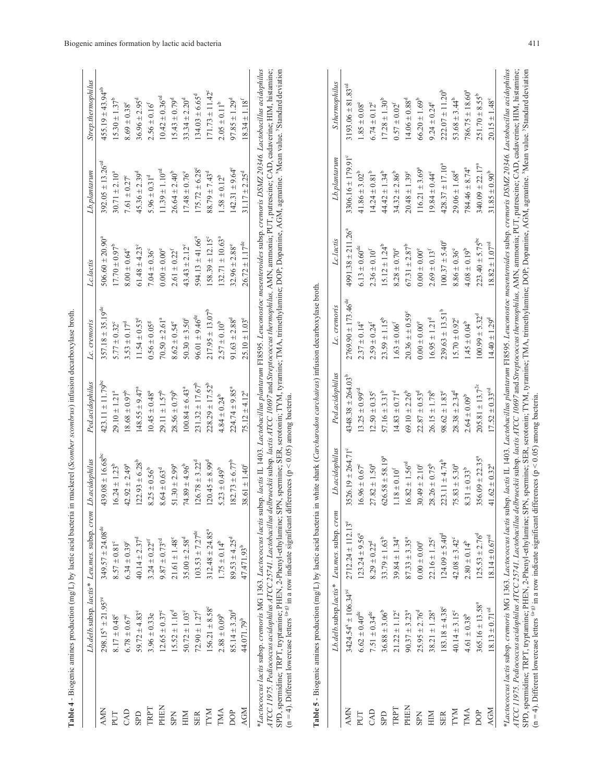|                |                                  | Lb.delb.subsp. lactis* Leu.mes. subsp. crem Lb.acidophilus |                                  | Ped.acidophilus                  | Lc. cremoris                     | Lc.lactis                       | $\label{eq:sub} Lb.planarum$     | Strep.thermophilus             |
|----------------|----------------------------------|------------------------------------------------------------|----------------------------------|----------------------------------|----------------------------------|---------------------------------|----------------------------------|--------------------------------|
| Š              | $298.15^8 \pm 21.95^{\text{ye}}$ | $349.57 \pm 24.08$ <sup>de</sup>                           | $439.08 \pm 16.68$ <sup>bc</sup> | $423.11 \pm 11.79$ <sup>bc</sup> | $357.18 \pm 35.19$ <sup>de</sup> | $506.60 \pm 20.90^4$            | $392.05 \pm 13.26$ <sup>cd</sup> | $455.19 \pm 43.94^{ab}$        |
| 5              | $8.17 \pm 0.48$ °                | $8.57\pm0.81^{\circ}$                                      | $16.24 \pm 1.23^b$               | $29.10 \pm 1.21^a$               | $5.77 \pm 0.32$ <sup>c</sup>     | $17.70 \pm 0.97^{\circ}$        | $30.71 \pm 2.10^a$               | $15.30 \pm 1.37^b$             |
| $\overline{A}$ | $6.78\pm0.67^{\circ}$            | $6.34 \pm 0.39^{\circ}$                                    | $42.92 \pm 2.49^a$               | $18.68 \pm 0.97^{\circ}$         | $3.53 \pm 0.17^d$                | $8.00 \pm 0.64^{\circ}$         | 7.61 $\pm$ 0.27°                 | $8.69 \pm 0.38$ <sup>c</sup>   |
| <b>Qd</b>      | 59.72 $\pm$ 4.83°                | $40.14 \pm 2.37^d$                                         | $122.93 \pm 6.28^b$              | $148.55 \pm 9.47^a$              | $11.54 \pm 0.53$ <sup>e</sup>    | $61.48 \pm 4.23$ <sup>c</sup>   | $45.36 \pm 2.39$ <sup>d</sup>    | $36.96 \pm 2.95^d$             |
| RPT            | $3.96 \pm 0.33e$                 | $3.24 \pm 0.22$ <sup>ef</sup>                              | $8.25 \pm 0.56^b$                | $10.45 \pm 0.48^a$               | $0.56 \pm 0.05$ <sup>g</sup>     | $7.04 \pm 0.36^{\circ}$         | $5.96 \pm 0.31^d$                | $2.56 \pm 0.16$                |
| HEN            | $12.65 \pm 0.37^{\circ}$         | $9.87\pm0.73^{\rm cd}$                                     | $8.64 \pm 0.63$ <sup>d</sup>     | $29.11 \pm 1.57^b$               | $70.50 \pm 2.61a$                | $0.00 \pm 0.00^{\circ}$         | $11.39 \pm 1.10^{cd}$            | $10.42 \pm 0.36$ <sup>cd</sup> |
| Kd             | $15.52 \pm 1.16^d$               | $21.61 \pm 1.48$ °                                         | $51.30 \pm 2.99^a$               | $28.56 \pm 0.79^b$               | $8.62 \pm 0.54^{\circ}$          | $2.61 \pm 0.22^{\mathrm{f}}$    | $26.64 \pm 2.40^b$               | $15.43 \pm 0.79^d$             |
| ⊠              | $50.72 \pm 1.03^{\circ}$         | $35.00 \pm 2.58$ <sup>d</sup>                              | $74.89 \pm 4.96^b$               | $100.84 \pm 6.43^a$              | $50.30 \pm 3.50^{\circ}$         | $43.43 \pm 2.12^{\circ}$        | $17.48 \pm 0.76^{\circ}$         | $33.34 \pm 2.20$ <sup>d</sup>  |
| ER             | $72.90 \pm 1.27^f$               | $103.53 \pm 7.27^{\text{de}}$                              | $126.78 \pm 3.22^{\circ}$        | $231.32 \pm 17.67^b$             | $96.01 \pm 9.46^{\text{de}}$     | 594.13 $\pm$ 41.66 <sup>a</sup> | $175.72 \pm 6.28^{\circ}$        | $134.03 \pm 6.65$ <sup>d</sup> |
| NΧ             | $156.21 \pm 8.58^{\circ}$        | $312.48 \pm 24.85^a$                                       | $120.45 \pm 8.99^d$              | $228.29 \pm 17.52^b$             | $217.95 \pm 13.07^b$             | $158.39 \pm 12.15^{\circ}$      | $88.79 \pm 7.43^d$               | $171.73 \pm 11.42^{\circ}$     |
| ŃМ             | $2.88 \pm 0.09^b$                | $1.75 \pm 0.14^b$                                          | 5.23 $\pm$ 0.49 <sup>b</sup>     | $4.84 \pm 0.24^{b}$              | $2.57 \pm 0.10^{b}$              | $132.71 \pm 10.63^a$            | $1.58 \pm 0.12^b$                | $2.05 \pm 0.11^b$              |
| ੈ              | $85.14 \pm 3.20^d$               | $89.53 \pm 4.25^d$                                         | $182.73 \pm 6.77^b$              | $224.74 \pm 9.85$ <sup>a</sup>   | $91.63 \pm 2.88$ <sup>d</sup>    | $32.96 \pm 2.88$ <sup>e</sup>   | $142.31 \pm 9.64^{\circ}$        | $97.85 \pm 1.29^d$             |
| š              | 44.071.79 <sup>b</sup>           | 47.471.93 <sup>b</sup>                                     | $38.61 \pm 1.40^{\circ}$         | $75.12 \pm 4.12^a$               | $25.10 \pm 1.03^{\circ}$         | $26.72 \pm 1.17^{de}$           | $31.17 \pm 2.25^d$               | $18.34 \pm 1.18^{f}$           |

|   | ţ                                                |  |
|---|--------------------------------------------------|--|
|   |                                                  |  |
|   |                                                  |  |
|   | ł<br>ï                                           |  |
|   | ï                                                |  |
|   |                                                  |  |
|   | j                                                |  |
|   | į<br>i                                           |  |
|   | i                                                |  |
|   |                                                  |  |
|   |                                                  |  |
|   | i                                                |  |
|   |                                                  |  |
|   | ֖֖֖֪ׅ֖ׅׅׅ֪֪ׅ֖֚֚֚֚֚֚֚֚֚֚֚֚֚֚֚֚֚֚֚֚֚֚֚֬֝֝֝֬֝֬֝֬֝֓֞ |  |
|   | Ï                                                |  |
|   | I                                                |  |
|   |                                                  |  |
|   |                                                  |  |
|   |                                                  |  |
|   | j                                                |  |
|   |                                                  |  |
|   |                                                  |  |
|   |                                                  |  |
|   |                                                  |  |
|   |                                                  |  |
| Ì | Í                                                |  |
|   |                                                  |  |
|   |                                                  |  |
|   |                                                  |  |
|   |                                                  |  |
|   |                                                  |  |
|   |                                                  |  |
|   |                                                  |  |
|   |                                                  |  |
|   |                                                  |  |
|   |                                                  |  |
|   |                                                  |  |
|   |                                                  |  |
|   |                                                  |  |
|   |                                                  |  |
|   |                                                  |  |
|   |                                                  |  |
|   |                                                  |  |
|   |                                                  |  |
|   | Į                                                |  |
|   | j<br>֕                                           |  |
|   | í                                                |  |
|   | 1                                                |  |
|   |                                                  |  |
|   |                                                  |  |
|   |                                                  |  |
|   |                                                  |  |
|   |                                                  |  |
|   | i                                                |  |
|   | 1                                                |  |
|   |                                                  |  |
|   |                                                  |  |
|   | $\overline{\phantom{a}}$                         |  |
|   |                                                  |  |
|   | č<br>$\frac{2}{3}$                               |  |
| ļ | i                                                |  |
| Ŋ | I<br>l<br>ł                                      |  |
|   | Ì<br>ë                                           |  |
|   |                                                  |  |

| <b>AMN</b>  | $298.15^8 \pm 21.95^{\text{ye}}$<br>$8.17 \pm 0.48^{\circ}$ | $349.57 \pm 24.08$ <sup>de</sup>  |                                  |                                  |                                  |                                   |                               |                                    |
|-------------|-------------------------------------------------------------|-----------------------------------|----------------------------------|----------------------------------|----------------------------------|-----------------------------------|-------------------------------|------------------------------------|
|             |                                                             |                                   | $439.08 \pm 16.68$ <sup>bc</sup> | $423.11 \pm 11.79$ <sup>bc</sup> | $357.18 \pm 35.19$ <sup>de</sup> | $506.60 \pm 20.90^a$              | $392.05 \pm 13.26^{\circ d}$  | $455.19 \pm 43.94^{ab}$            |
| PUT         |                                                             | $8.57\pm0.81^{\circ}$             | $16.24 \pm 1.23^b$               | $29.10 \pm 1.21a$                | $5.77 \pm 0.32^{\circ}$          | $17.70 \pm 0.97^{\circ}$          | $30.71 \pm 2.10^a$            | $15.30 \pm 1.37^{\circ}$           |
| CAD         | $6.78 \pm 0.67^{\circ}$                                     | $6.34 \pm 0.39^{\circ}$           | $42.92 \pm 2.49^a$               | $18.68 \pm 0.97^b$               | $3.53 \pm 0.17^d$                | $8.00 \pm 0.64^{\circ}$           | $7.61 \pm 0.27^{\circ}$       | $8.69\pm0.38^{\circ}$              |
| <b>GLIS</b> | 59.72 $\pm$ 4.83°                                           | $40.14 \pm 2.37^d$                | $122.93 \pm 6.28^b$              | $148.55 \pm 9.47^a$              | $11.54 \pm 0.53$ <sup>e</sup>    | $61.48 \pm 4.23$ <sup>c</sup>     | $45.36 \pm 2.39$ <sup>d</sup> | $36.96 \pm 2.95^{\circ}$           |
| TRPT        | $3.96 \pm 0.33e$                                            | $3.24\pm0.22^{\mathrm{ef}}$       | $8.25 \pm 0.56^{\circ}$          | $10.45 \pm 0.48$ <sup>a</sup>    | $0.56\pm0.05^{\rm g}$            | $7.04 \pm 0.36^{\circ}$           | $5.96 \pm 0.31^d$             | $2.56\pm0.16^{\rm f}$              |
| PHEN        | $12.65 \pm 0.37^{\circ}$                                    | $9.87\pm0.73^{\rm od}$            | $8.64 \pm 0.63$ <sup>d</sup>     | $29.11 \pm 1.57^b$               | $70.50 \pm 2.61^a$               | $0.00\pm0.00^{\rm e}$             | $11.39 \pm 1.10^{cd}$         | $10.42 \pm 0.36^{\rm cd}$          |
| <b>SPN</b>  | $15.52 \pm 1.16^{d}$                                        | $21.61 \pm 1.48^{\circ}$          | $51.30 \pm 2.99^a$               | $28.56 \pm 0.79^{\circ}$         | $8.62\pm0.54^{\circ}$            | $2.61\pm0.22^{\rm f}$             | $26.64 \pm 2.40^b$            | $15.43 \pm 0.79^d$                 |
| HIM         | $50.72 \pm 1.03^{\circ}$                                    | $35.00 \pm 2.58$ <sup>d</sup>     | $74.89 \pm 4.96^b$               | $100.84 \pm 6.43$ <sup>a</sup>   | $50.30 \pm 3.50^{\circ}$         | $43.43 \pm 2.12^{\circ}$          | $17.48 \pm 0.76^{\circ}$      | $33.34 \pm 2.20^d$                 |
| <b>SER</b>  | $72.90 \pm 1.27^f$                                          | $103.53 \pm 7.27^{\text{de}}$     | $26.78 \pm 3.22^{\circ}$         | $231.32 \pm 17.67^b$             | $96.01 \pm 9.46$ <sup>de</sup>   | $594.13 \pm 41.66^{\circ}$        | $175.72 \pm 6.28^{\circ}$     | $134.03 \pm 6.65$ <sup>d</sup>     |
| <b>INAL</b> | $156.21 \pm 8.58^{\circ}$                                   | $312.48 \pm 24.85^a$              | $120.45 \pm 8.99^d$              | $228.29 \pm 17.52^b$             | $217.95 \pm 13.07^b$             | $158.39 \pm 12.15^{\circ}$        | $88.79 \pm 7.43^{\circ}$      | $171.73 \pm 11.42^{\circ}$         |
| TMA         | $2.88 \pm 0.09^b$                                           | $1.75 \pm 0.14^b$                 | $5.23 \pm 0.49^b$                | $4.84 \pm 0.24^b$                | $2.57 \pm 0.10^{b}$              | $132.71 \pm 10.63^a$              | $1.58 \pm 0.12^b$             | $2.05 \pm 0.11^b$                  |
| DOP         | $85.14 \pm 3.20^4$                                          | $89.53 \pm 4.25^{\circ}$          | $182.73 \pm 6.77^b$              | $224.74 \pm 9.85^a$              | $91.63 \pm 2.88$ <sup>d</sup>    | $32.96 \pm 2.88$ <sup>e</sup>     | $142.31 \pm 9.64^{\circ}$     | $97.85 \pm 1.29^d$                 |
| <b>AGM</b>  | 44.071.79 <sup>b</sup>                                      | 47.471.93 <sup>b</sup>            | $38.61 \pm 1.40^{\circ}$         | $75.12 \pm 4.12^a$               | $25.10 \pm 1.03^{\circ}$         | $26.72 \pm 1.17^{\rm de}$         | $31.17 \pm 2.25$ <sup>d</sup> | $\underline{18.34\pm1.18}^{\rm f}$ |
|             | Lb.delb.subsp.lactis*                                       | Leu.mes. subsp. cren              | Lb.acidophilus                   | Ped.acidophilus                  | Lc. cremoris                     | Lc.lactis                         | Lb.plantarum                  | S.thermophilus                     |
| <b>AMN</b>  | $3424.54^{\text{x}} \pm 106.34^{\text{yc}}$                 | $2712.24 \pm 112.13$ <sup>e</sup> | $3526.19 \pm 264.71^{\circ}$     | $4348.38 \pm 264.03^b$           | $2769.90 \pm 173.46^{\circ}$     | $4991.38 \pm 211.26$ <sup>a</sup> | $3306.16 \pm 179.91^{\circ}$  | $3193.06 \pm 81.83$ <sup>cd</sup>  |
| PUT         | $6.62 \pm 0.40^{\rm de}$                                    | $123.24 \pm 9.56^{\circ}$         | $16.96 \pm 0.67^{\circ}$         | $13.25 \pm 0.99^{\circ d}$       | $2.37 \pm 0.14^{\circ}$          | $6.13 \pm 0.60$ <sup>de</sup>     | $41.86 \pm 3.02^b$            | $1.85\pm0.08^{\circ}$              |
| CAD         | $7.51 \pm 0.34^{\rm de}$                                    | $8.29 \pm 0.22^d$                 | $27.82 \pm 1.50^a$               | $12.50 \pm 0.35^{\circ}$         | $2.59 \pm 0.24$ <sup>f</sup>     | $2.36 \pm 0.10^{f}$               | $14.24 \pm 0.81^b$            | $6.74 \pm 0.12^{\circ}$            |
| <b>GLS</b>  | $36.88 \pm 3.06^b$                                          | $33.79 \pm 1.63^b$                | $626.58 \pm 58.19^a$             | $57.16 \pm 3.31^b$               | $23.59 \pm 1.15^{b}$             | $15.12 \pm 1.24^b$                | $44.42 \pm 1.34^b$            | $17.28 \pm 1.30^b$                 |
| TRPT        | $21.22 \pm 1.12^{\circ}$                                    | $39.84 \pm 1.34^a$                | $1.18\pm0.10^{\rm f}$            | $14.83 \pm 0.71^d$               | $1.63\pm0.06^{\rm f}$            | $8.28 \pm 0.70^{\circ}$           | $34.32 \pm 2.86^b$            | $0.57\pm0.02^{\rm f}$              |
| PHEN        | $90.37 \pm 3.23^a$                                          | $87.33 \pm 3.35^a$                | $16.82 \pm 1.56^{\rm od}$        | $69.10 \pm 2.26^b$               | $20.36 \pm \pm 0.59^{\circ}$     | $67.31 \pm 2.87^b$                | $20.48 \pm 1.39^{\circ}$      | $14.06 \pm 0.88$ <sup>d</sup>      |
| <b>SPN</b>  | $25.95 \pm 2.76^d$                                          | $0.00\pm0.00^{\rm e}$             | $30.49 \pm 2.10^{\circ}$         | $22.87 \pm 0.53$ <sup>d</sup>    | $0.00\pm0.00^{\rm e}$            | $0.00\pm0.00^{\rm e}$             | $116.21 \pm 3.69^a$           | $66.20\pm1.69^{\mathrm{b}}$        |
| HIM         | $38.21 \pm 1.28^a$                                          | $22.16 \pm 1.25^{\circ}$          | $28.26 \pm 0.75^b$               | $26.15\pm1.78^{\mathrm{b}}$      | $16.95 \pm 1.21^d$               | $2.69\pm0.13^{\rm f}$             | $19.84 \pm 0.44^{\circ}$      | $9.24 \pm 0.24^{\circ}$            |
| <b>SER</b>  | $183.18 \pm 4.38^{\circ}$                                   | $124.09 \pm 5.40^d$               | $223.11 \pm 4.74^b$              | $98.62 \pm 1.83^{\circ}$         | $239.63 \pm 13.51^b$             | $100.37 \pm 5.40^{\circ}$         | $428.37 \pm 17.10^a$          | $222.07 \pm 11.20^b$               |
| <b>INAL</b> | $40.14 \pm 3.15^{\circ}$                                    | $42.08 \pm 3.42^{\circ}$          | $75.83 \pm 5.30^a$               | $28.38 \pm 2.34^d$               | $15.70 \pm 0.92^{\circ}$         | $8.86\pm0.36^{\circ}$             | $29.06 \pm 1.68$ <sup>d</sup> | $53.68 \pm 3.44^b$                 |
| TMA         | $4.61 \pm 0.38^b$                                           | $2.80 \pm 0.14^b$                 | $8.31 \pm 0.33^b$                | $2.64 \pm 0.09^{b}$              | $1.45\pm0.04^{\mathrm{b}}$       | $4.08 \pm 0.19^b$                 | $784.46 \pm 8.74^a$           | $786.75 \pm 18.60^a$               |
| DOP         | $365.16 \pm 13.58^a$                                        | $125.53 \pm 2.76^d$               | $356.09 \pm 22.35^{\circ}$       | $205.81 \pm 13.7^{2c}$           | $100.99 \pm 5.32^{\circ}$        | $223.40 \pm 5.75^{bc}$            | $340.09 \pm 22.17^a$          | $251.70 \pm 8.55^b$                |
| <b>AGM</b>  | $18.13 \pm 0.71^{\rm od}$                                   | $8.14\pm0.67^{\rm cd}$            | $41.62 \pm 0.32$ <sup>a</sup>    | $17.52 \pm 0.33^{\rm cd}$        | $14.40 \pm 1.29$ <sup>d</sup>    | $18.82\pm1.07^{\rm cd}$           | $31.85\pm0.90^{\mathrm{b}}$   | $20.15 \pm 1.48^{\circ}$           |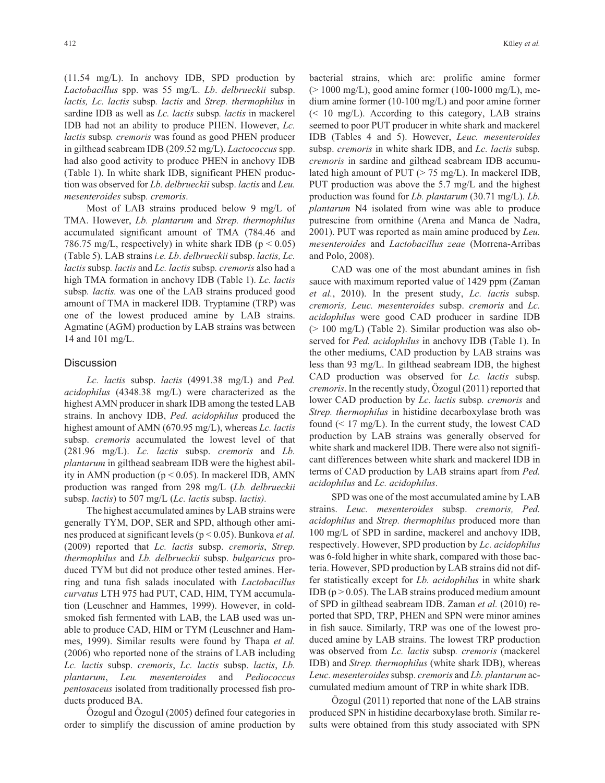(11.54 mg/L). In anchovy IDB, SPD production by *Lactobacillus* spp. was 55 mg/L. *Lb*. *delbrueckii* subsp. *lactis, Lc. lactis* subsp*. lactis* and *Strep. thermophilus* in sardine IDB as well as *Lc. lactis* subsp*. lactis* in mackerel IDB had not an ability to produce PHEN. However, *Lc. lactis* subsp*. cremoris* was found as good PHEN producer in gilthead seabream IDB (209.52 mg/L). *Lactococcus* spp. had also good activity to produce PHEN in anchovy IDB (Table 1). In white shark IDB, significant PHEN production was observed for *Lb. delbrueckii* subsp. *lactis* and *Leu. mesenteroides* subsp*. cremoris*.

Most of LAB strains produced below 9 mg/L of TMA. However, *Lb. plantarum* and *Strep. thermophilus* accumulated significant amount of TMA (784.46 and 786.75 mg/L, respectively) in white shark IDB ( $p < 0.05$ ) (Table 5). LAB strains *i.e. Lb*. *delbrueckii* subsp. *lactis, Lc. lactis* subsp*. lactis* and *Lc. lactis* subsp*. cremoris* also had a high TMA formation in anchovy IDB (Table 1). *Lc. lactis* subsp*. lactis.* was one of the LAB strains produced good amount of TMA in mackerel IDB. Tryptamine (TRP) was one of the lowest produced amine by LAB strains. Agmatine (AGM) production by LAB strains was between 14 and 101 mg/L.

#### **Discussion**

*Lc. lactis* subsp. *lactis* (4991.38 mg/L) and *Ped. acidophilus* (4348.38 mg/L) were characterized as the highest AMN producer in shark IDB among the tested LAB strains. In anchovy IDB, *Ped. acidophilus* produced the highest amount of AMN (670.95 mg/L), whereas *Lc. lactis* subsp. *cremoris* accumulated the lowest level of that (281.96 mg/L). *Lc. lactis* subsp. *cremoris* and *Lb. plantarum* in gilthead seabream IDB were the highest ability in AMN production ( $p \le 0.05$ ). In mackerel IDB, AMN production was ranged from 298 mg/L (*Lb. delbrueckii* subsp. *lactis*) to 507 mg/L (*Lc. lactis* subsp. *lactis).*

The highest accumulated amines by LAB strains were generally TYM, DOP, SER and SPD, although other amines produced at significant levels (p < 0.05). Bunkova *et al.* (2009) reported that *Lc. lactis* subsp. *cremoris*, *Strep. thermophilus* and *Lb. delbrueckii* subsp. *bulgaricus* produced TYM but did not produce other tested amines. Herring and tuna fish salads inoculated with *Lactobacillus curvatus* LTH 975 had PUT, CAD, HIM, TYM accumulation (Leuschner and Hammes, 1999). However, in coldsmoked fish fermented with LAB, the LAB used was unable to produce CAD, HIM or TYM (Leuschner and Hammes, 1999). Similar results were found by Thapa *et al.* (2006) who reported none of the strains of LAB including *Lc. lactis* subsp. *cremoris*, *Lc. lactis* subsp. *lactis*, *Lb. plantarum*, *Leu. mesenteroides* and *Pediococcus pentosaceus* isolated from traditionally processed fish products produced BA.

Özogul and Özogul (2005) defined four categories in order to simplify the discussion of amine production by bacterial strains, which are: prolific amine former  $(> 1000 \text{ mg/L})$ , good amine former (100-1000 mg/L), medium amine former (10-100 mg/L) and poor amine former  $\approx$  10 mg/L). According to this category, LAB strains seemed to poor PUT producer in white shark and mackerel IDB (Tables 4 and 5). However, *Leuc. mesenteroides* subsp. *cremoris* in white shark IDB, and *Lc. lactis* subsp*. cremoris* in sardine and gilthead seabream IDB accumulated high amount of PUT (> 75 mg/L). In mackerel IDB, PUT production was above the 5.7 mg/L and the highest production was found for *Lb. plantarum* (30.71 mg/L). *Lb. plantarum* N4 isolated from wine was able to produce putrescine from ornithine (Arena and Manca de Nadra, 2001). PUT was reported as main amine produced by *Leu. mesenteroides* and *Lactobacillus zeae* (Morrena-Arribas and Polo, 2008).

CAD was one of the most abundant amines in fish sauce with maximum reported value of 1429 ppm (Zaman *et al.*, 2010). In the present study, *Lc. lactis* subsp*. cremoris, Leuc. mesenteroides* subsp. *cremoris* and *Lc. acidophilus* were good CAD producer in sardine IDB (> 100 mg/L) (Table 2). Similar production was also observed for *Ped. acidophilus* in anchovy IDB (Table 1). In the other mediums, CAD production by LAB strains was less than 93 mg/L. In gilthead seabream IDB, the highest CAD production was observed for *Lc. lactis* subsp*. cremoris*. In the recently study, Özogul (2011) reported that lower CAD production by *Lc. lactis* subsp*. cremoris* and *Strep. thermophilus* in histidine decarboxylase broth was found  $($  17 mg/L). In the current study, the lowest CAD production by LAB strains was generally observed for white shark and mackerel IDB. There were also not significant differences between white shark and mackerel IDB in terms of CAD production by LAB strains apart from *Ped. acidophilus* and *Lc. acidophilus*.

SPD was one of the most accumulated amine by LAB strains. *Leuc. mesenteroides* subsp. *cremoris, Ped. acidophilus* and *Strep. thermophilus* produced more than 100 mg/L of SPD in sardine, mackerel and anchovy IDB, respectively. However, SPD production by *Lc. acidophilus* was 6-fold higher in white shark, compared with those bacteria. However, SPD production by LAB strains did not differ statistically except for *Lb. acidophilus* in white shark IDB ( $p > 0.05$ ). The LAB strains produced medium amount of SPD in gilthead seabream IDB. Zaman *et al.* (2010) reported that SPD, TRP, PHEN and SPN were minor amines in fish sauce. Similarly, TRP was one of the lowest produced amine by LAB strains. The lowest TRP production was observed from *Lc. lactis* subsp*. cremoris* (mackerel IDB) and *Strep. thermophilus* (white shark IDB), whereas *Leuc. mesenteroides*subsp. *cremoris* and *Lb. plantarum* accumulated medium amount of TRP in white shark IDB.

Özogul (2011) reported that none of the LAB strains produced SPN in histidine decarboxylase broth. Similar results were obtained from this study associated with SPN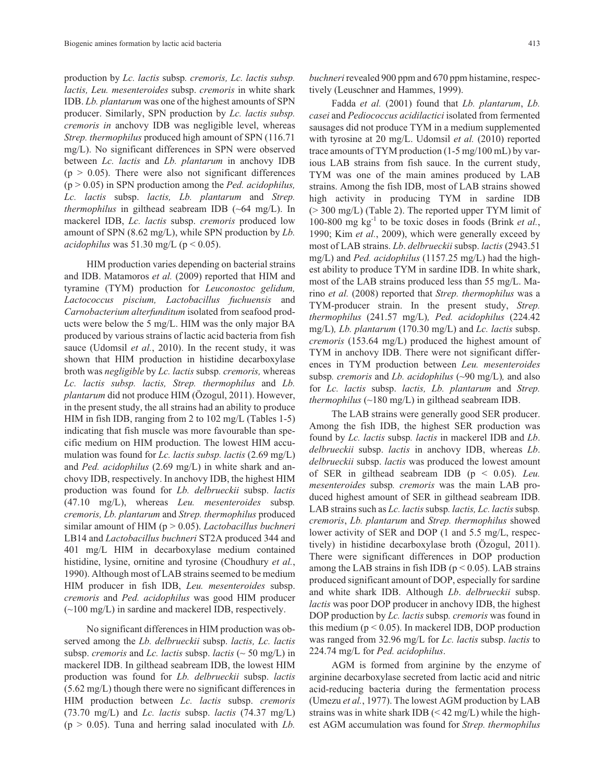production by *Lc. lactis* subsp*. cremoris, Lc. lactis subsp. lactis, Leu. mesenteroides* subsp. *cremoris* in white shark IDB. *Lb. plantarum* was one of the highest amounts of SPN producer. Similarly, SPN production by *Lc. lactis subsp. cremoris in* anchovy IDB was negligible level, whereas *Strep. thermophilus* produced high amount of SPN (116.71 mg/L). No significant differences in SPN were observed between *Lc. lactis* and *Lb. plantarum* in anchovy IDB  $(p > 0.05)$ . There were also not significant differences (p > 0.05) in SPN production among the *Ped. acidophilus, Lc. lactis* subsp. *lactis, Lb. plantarum* and *Strep. thermophilus* in gilthead seabream IDB (~64 mg/L). In mackerel IDB, *Lc. lactis* subsp. *cremoris* produced low amount of SPN (8.62 mg/L), while SPN production by *Lb. acidophilus* was  $51.30$  mg/L ( $p < 0.05$ ).

HIM production varies depending on bacterial strains and IDB. Matamoros *et al.* (2009) reported that HIM and tyramine (TYM) production for *Leuconostoc gelidum, Lactococcus piscium, Lactobacillus fuchuensis* and *Carnobacterium alterfunditum* isolated from seafood products were below the 5 mg/L. HIM was the only major BA produced by various strains of lactic acid bacteria from fish sauce (Udomsil *et al.*, 2010). In the recent study, it was shown that HIM production in histidine decarboxylase broth was *negligible* by *Lc. lactis* subsp*. cremoris,* whereas *Lc. lactis subsp. lactis, Strep. thermophilus* and *Lb. plantarum* did not produce HIM (Özogul, 2011). However, in the present study, the all strains had an ability to produce HIM in fish IDB, ranging from 2 to 102 mg/L (Tables 1-5) indicating that fish muscle was more favourable than specific medium on HIM production. The lowest HIM accumulation was found for *Lc. lactis subsp. lactis* (2.69 mg/L) and *Ped. acidophilus* (2.69 mg/L) in white shark and anchovy IDB, respectively. In anchovy IDB, the highest HIM production was found for *Lb. delbrueckii* subsp. *lactis* (47.10 mg/L), whereas *Leu. mesenteroides* subsp*. cremoris, Lb. plantarum* and *Strep. thermophilus* produced similar amount of HIM (p > 0.05). *Lactobacillus buchneri* LB14 and *Lactobacillus buchneri* ST2A produced 344 and 401 mg/L HIM in decarboxylase medium contained histidine, lysine, ornitine and tyrosine (Choudhury *et al.*, 1990). Although most of LAB strains seemed to be medium HIM producer in fish IDB, *Leu. mesenteroides* subsp. *cremoris* and *Ped. acidophilus* was good HIM producer (~100 mg/L) in sardine and mackerel IDB, respectively.

No significant differences in HIM production was observed among the *Lb. delbrueckii* subsp. *lactis, Lc. lactis* subsp. *cremoris* and *Lc. lactis* subsp. *lactis* (~ 50 mg/L) in mackerel IDB. In gilthead seabream IDB, the lowest HIM production was found for *Lb. delbrueckii* subsp. *lactis* (5.62 mg/L) though there were no significant differences in HIM production between *Lc. lactis* subsp. *cremoris* (73.70 mg/L) and *Lc. lactis* subsp. *lactis* (74.37 mg/L) (p > 0.05). Tuna and herring salad inoculated with *Lb.*

*buchneri* revealed 900 ppm and 670 ppm histamine, respectively (Leuschner and Hammes, 1999).

Fadda *et al.* (2001) found that *Lb. plantarum*, *Lb. casei* and *Pediococcus acidilactici* isolated from fermented sausages did not produce TYM in a medium supplemented with tyrosine at 20 mg/L. Udomsil *et al.* (2010) reported trace amounts of TYM production (1-5 mg/100 mL) by various LAB strains from fish sauce. In the current study, TYM was one of the main amines produced by LAB strains. Among the fish IDB, most of LAB strains showed high activity in producing TYM in sardine IDB (> 300 mg/L) (Table 2). The reported upper TYM limit of 100-800 mg  $kg^{-1}$  to be toxic doses in foods (Brink *et al.*, 1990; Kim *et al.*, 2009), which were generally exceed by most of LAB strains. *Lb*. *delbrueckii* subsp. *lactis* (2943.51 mg/L) and *Ped. acidophilus* (1157.25 mg/L) had the highest ability to produce TYM in sardine IDB. In white shark, most of the LAB strains produced less than 55 mg/L. Marino *et al.* (2008) reported that *Strep. thermophilus* was a TYM-producer strain. In the present study, *Strep. thermophilus* (241.57 mg/L)*, Ped. acidophilus* (224.42 mg/L)*, Lb. plantarum* (170.30 mg/L) and *Lc. lactis* subsp. *cremoris* (153.64 mg/L) produced the highest amount of TYM in anchovy IDB. There were not significant differences in TYM production between *Leu. mesenteroides* subsp*. cremoris* and *Lb. acidophilus* (~90 mg/L)*,* and also for *Lc. lactis* subsp. *lactis, Lb. plantarum* and *Strep. thermophilus* (~180 mg/L) in gilthead seabream IDB.

The LAB strains were generally good SER producer. Among the fish IDB, the highest SER production was found by *Lc. lactis* subsp*. lactis* in mackerel IDB and *Lb*. *delbrueckii* subsp. *lactis* in anchovy IDB, whereas *Lb*. *delbrueckii* subsp. *lactis* was produced the lowest amount of SER in gilthead seabream IDB (p < 0.05). *Leu. mesenteroides* subsp*. cremoris* was the main LAB produced highest amount of SER in gilthead seabream IDB. LAB strains such as *Lc. lactis*subsp*. lactis, Lc. lactis*subsp*. cremoris*, *Lb. plantarum* and *Strep. thermophilus* showed lower activity of SER and DOP (1 and 5.5 mg/L, respectively) in histidine decarboxylase broth (Özogul, 2011). There were significant differences in DOP production among the LAB strains in fish IDB ( $p < 0.05$ ). LAB strains produced significant amount of DOP, especially for sardine and white shark IDB. Although *Lb*. *delbrueckii* subsp. *lactis* was poor DOP producer in anchovy IDB, the highest DOP production by *Lc. lactis* subsp*. cremoris* was found in this medium ( $p < 0.05$ ). In mackerel IDB, DOP production was ranged from 32.96 mg/L for *Lc. lactis* subsp. *lactis* to 224.74 mg/L for *Ped. acidophilus*.

AGM is formed from arginine by the enzyme of arginine decarboxylase secreted from lactic acid and nitric acid-reducing bacteria during the fermentation process (Umezu *et al.*, 1977). The lowest AGM production by LAB strains was in white shark IDB  $(< 42 \text{ mg/L})$  while the highest AGM accumulation was found for *Strep. thermophilus*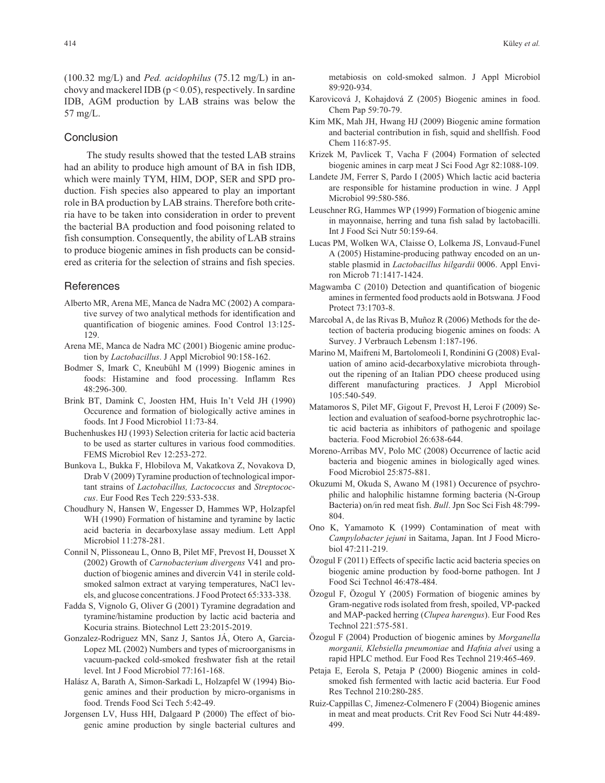(100.32 mg/L) and *Ped. acidophilus* (75.12 mg/L) in anchovy and mackerel IDB ( $p < 0.05$ ), respectively. In sardine IDB, AGM production by LAB strains was below the 57 mg/L.

## Conclusion

The study results showed that the tested LAB strains had an ability to produce high amount of BA in fish IDB, which were mainly TYM, HIM, DOP, SER and SPD production. Fish species also appeared to play an important role in BA production by LAB strains. Therefore both criteria have to be taken into consideration in order to prevent the bacterial BA production and food poisoning related to fish consumption. Consequently, the ability of LAB strains to produce biogenic amines in fish products can be considered as criteria for the selection of strains and fish species.

# References

- Alberto MR, Arena ME, Manca de Nadra MC (2002) A comparative survey of two analytical methods for identification and quantification of biogenic amines. Food Control 13:125- 129.
- Arena ME, Manca de Nadra MC (2001) Biogenic amine production by *Lactobacillus*. J Appl Microbiol 90:158-162.
- Bodmer S, Imark C, Kneubühl M (1999) Biogenic amines in foods: Histamine and food processing. Inflamm Res 48:296-300.
- Brink BT, Damink C, Joosten HM, Huis In't Veld JH (1990) Occurence and formation of biologically active amines in foods. Int J Food Microbiol 11:73-84.
- Buchenhuskes HJ (1993) Selection criteria for lactic acid bacteria to be used as starter cultures in various food commodities. FEMS Microbiol Rev 12:253-272.
- Bunkova L, Bukka F, Hlobilova M, Vakatkova Z, Novakova D, Drab V (2009) Tyramine production of technological important strains of *Lactobacillus, Lactococcus* and *Streptococcus*. Eur Food Res Tech 229:533-538.
- Choudhury N, Hansen W, Engesser D, Hammes WP, Holzapfel WH (1990) Formation of histamine and tyramine by lactic acid bacteria in decarboxylase assay medium. Lett Appl Microbiol 11:278-281.
- Connil N, Plissoneau L, Onno B, Pilet MF, Prevost H, Dousset X (2002) Growth of *Carnobacterium divergens* V41 and production of biogenic amines and divercin V41 in sterile coldsmoked salmon extract at varying temperatures, NaCl levels, and glucose concentrations. J Food Protect 65:333-338.
- Fadda S, Vignolo G, Oliver G (2001) Tyramine degradation and tyramine/histamine production by lactic acid bacteria and Kocuria strains. Biotechnol Lett 23:2015-2019.
- Gonzalez-Rodriguez MN, Sanz J, Santos JÁ, Otero A, Garcia-Lopez ML (2002) Numbers and types of microorganisms in vacuum-packed cold-smoked freshwater fish at the retail level. Int J Food Microbiol 77:161-168.
- Halász A, Barath A, Simon-Sarkadi L, Holzapfel W (1994) Biogenic amines and their production by micro-organisms in food. Trends Food Sci Tech 5:42-49.
- Jorgensen LV, Huss HH, Dalgaard P (2000) The effect of biogenic amine production by single bacterial cultures and

metabiosis on cold-smoked salmon. J Appl Microbiol 89:920-934.

- Karovicová J, Kohajdová Z (2005) Biogenic amines in food. Chem Pap 59:70-79.
- Kim MK, Mah JH, Hwang HJ (2009) Biogenic amine formation and bacterial contribution in fish, squid and shellfish. Food Chem 116:87-95.
- Krizek M, Pavlicek T, Vacha F (2004) Formation of selected biogenic amines in carp meat J Sci Food Agr 82:1088-109.
- Landete JM, Ferrer S, Pardo I (2005) Which lactic acid bacteria are responsible for histamine production in wine. J Appl Microbiol 99:580-586.
- Leuschner RG, Hammes WP (1999) Formation of biogenic amine in mayonnaise, herring and tuna fish salad by lactobacilli. Int J Food Sci Nutr 50:159-64.
- Lucas PM, Wolken WA, Claisse O, Lolkema JS, Lonvaud-Funel A (2005) Histamine-producing pathway encoded on an unstable plasmid in *Lactobacillus hilgardii* 0006. Appl Environ Microb 71:1417-1424.
- Magwamba C (2010) Detection and quantification of biogenic amines in fermented food products aold in Botswana*.*J Food Protect 73:1703-8.
- Marcobal A, de las Rivas B, Muñoz R (2006) Methods for the detection of bacteria producing biogenic amines on foods: A Survey. J Verbrauch Lebensm 1:187-196.
- Marino M, Maifreni M, Bartolomeoli I, Rondinini G (2008) Evaluation of amino acid-decarboxylative microbiota throughout the ripening of an Italian PDO cheese produced using different manufacturing practices. J Appl Microbiol 105:540-549.
- Matamoros S, Pilet MF, Gigout F, Prevost H, Leroi F (2009) Selection and evaluation of seafood-borne psychrotrophic lactic acid bacteria as inhibitors of pathogenic and spoilage bacteria. Food Microbiol 26:638-644.
- Moreno-Arribas MV, Polo MC (2008) Occurrence of lactic acid bacteria and biogenic amines in biologically aged wines*.* Food Microbiol 25:875-881.
- Okuzumi M, Okuda S, Awano M (1981) Occurence of psychrophilic and halophilic histamne forming bacteria (N-Group Bacteria) on/in red meat fish. *Bull*. Jpn Soc Sci Fish 48:799- 804.
- Ono K, Yamamoto K (1999) Contamination of meat with *Campylobacter jejuni* in Saitama, Japan. Int J Food Microbiol 47:211-219.
- Özogul F (2011) Effects of specific lactic acid bacteria species on biogenic amine production by food-borne pathogen. Int J Food Sci Technol 46:478-484.
- Özogul F, Özogul Y (2005) Formation of biogenic amines by Gram-negative rods isolated from fresh, spoiled, VP-packed and MAP-packed herring (*Clupea harengus*). Eur Food Res Technol 221:575-581.
- Özogul F (2004) Production of biogenic amines by *Morganella morganii, Klebsiella pneumoniae* and *Hafnia alvei* using a rapid HPLC method. Eur Food Res Technol 219:465-469.
- Petaja E, Eerola S, Petaja P (2000) Biogenic amines in coldsmoked fish fermented with lactic acid bacteria. Eur Food Res Technol 210:280-285.
- Ruiz-Cappillas C, Jimenez-Colmenero F (2004) Biogenic amines in meat and meat products. Crit Rev Food Sci Nutr 44:489- 499.